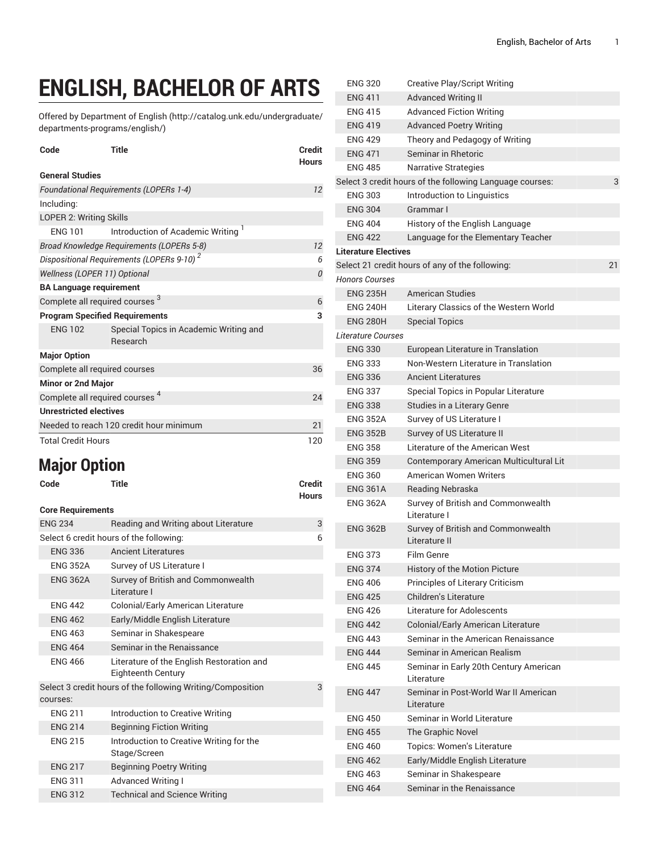# **ENGLISH, BACHELOR OF ARTS**

Offered by [Department](http://catalog.unk.edu/undergraduate/departments-programs/english/) of English ([http://catalog.unk.edu/undergraduate/](http://catalog.unk.edu/undergraduate/departments-programs/english/) [departments-programs/english/](http://catalog.unk.edu/undergraduate/departments-programs/english/))

| Code                                                  | <b>Title</b>                                              | <b>Credit</b><br><b>Hours</b> |  |
|-------------------------------------------------------|-----------------------------------------------------------|-------------------------------|--|
| <b>General Studies</b>                                |                                                           |                               |  |
| <b>Foundational Requirements (LOPERs 1-4)</b>         | 12                                                        |                               |  |
| Including:                                            |                                                           |                               |  |
| LOPER 2: Writing Skills                               |                                                           |                               |  |
| <b>FNG 101</b>                                        | Introduction of Academic Writing <sup>1</sup>             |                               |  |
|                                                       | Broad Knowledge Requirements (LOPERs 5-8)                 | 12                            |  |
| Dispositional Requirements (LOPERs 9-10) <sup>2</sup> |                                                           | 6                             |  |
| Wellness (LOPER 11) Optional                          |                                                           | 0                             |  |
| <b>BA Language requirement</b>                        |                                                           |                               |  |
| Complete all required courses <sup>3</sup>            |                                                           | 6                             |  |
| <b>Program Specified Requirements</b>                 |                                                           | 3                             |  |
| <b>ENG 102</b>                                        | Special Topics in Academic Writing and<br><b>Research</b> |                               |  |
| <b>Major Option</b>                                   |                                                           |                               |  |
| Complete all required courses                         |                                                           | 36                            |  |
| <b>Minor or 2nd Major</b>                             |                                                           |                               |  |
| Complete all required courses <sup>4</sup>            |                                                           | 24                            |  |
| <b>Unrestricted electives</b>                         |                                                           |                               |  |
| Needed to reach 120 credit hour minimum               |                                                           |                               |  |
| <b>Total Credit Hours</b>                             |                                                           | 120                           |  |

# **Major Option**

| Code | <b>Title</b> | <b>Credit</b> |
|------|--------------|---------------|
|      |              | <b>Hours</b>  |

| <b>Core Requirements</b>                                               |                                                                 |   |
|------------------------------------------------------------------------|-----------------------------------------------------------------|---|
| <b>ENG 234</b>                                                         | Reading and Writing about Literature                            | 3 |
|                                                                        | Select 6 credit hours of the following:                         | 6 |
| <b>ENG 336</b>                                                         | <b>Ancient Literatures</b>                                      |   |
| <b>ENG 352A</b>                                                        | Survey of US Literature I                                       |   |
| <b>ENG 362A</b>                                                        | Survey of British and Commonwealth<br>I iterature I             |   |
| <b>ENG 442</b>                                                         | Colonial/Early American Literature                              |   |
| <b>ENG 462</b>                                                         | Early/Middle English Literature                                 |   |
| <b>FNG 463</b>                                                         | Seminar in Shakespeare                                          |   |
| <b>ENG 464</b>                                                         | Seminar in the Renaissance                                      |   |
| <b>FNG 466</b>                                                         | Literature of the English Restoration and<br>Eighteenth Century |   |
| Select 3 credit hours of the following Writing/Composition<br>courses: |                                                                 |   |
| <b>FNG 211</b>                                                         | Introduction to Creative Writing                                |   |
| <b>ENG 214</b>                                                         | <b>Beginning Fiction Writing</b>                                |   |
| <b>ENG 215</b>                                                         | Introduction to Creative Writing for the<br>Stage/Screen        |   |
| <b>ENG 217</b>                                                         | <b>Beginning Poetry Writing</b>                                 |   |
| <b>ENG 311</b>                                                         | <b>Advanced Writing I</b>                                       |   |
| <b>ENG 312</b>                                                         | <b>Technical and Science Writing</b>                            |   |

| <b>ENG 320</b>              | <b>Creative Play/Script Writing</b>                      |    |
|-----------------------------|----------------------------------------------------------|----|
| <b>ENG 411</b>              | <b>Advanced Writing II</b>                               |    |
| <b>FNG 415</b>              | <b>Advanced Fiction Writing</b>                          |    |
| <b>ENG 419</b>              | <b>Advanced Poetry Writing</b>                           |    |
| <b>ENG 429</b>              | Theory and Pedagogy of Writing                           |    |
| <b>ENG 471</b>              | Seminar in Rhetoric                                      |    |
| <b>ENG 485</b>              | <b>Narrative Strategies</b>                              |    |
|                             | Select 3 credit hours of the following Language courses: | 3  |
| <b>ENG 303</b>              | Introduction to Linguistics                              |    |
| <b>ENG 304</b>              | Grammar I                                                |    |
| <b>ENG 404</b>              | History of the English Language                          |    |
| <b>ENG 422</b>              | Language for the Elementary Teacher                      |    |
| <b>Literature Electives</b> |                                                          |    |
|                             | Select 21 credit hours of any of the following:          | 21 |
| <b>Honors Courses</b>       |                                                          |    |
| <b>ENG 235H</b>             | <b>American Studies</b>                                  |    |
| <b>ENG 240H</b>             | Literary Classics of the Western World                   |    |
| <b>ENG 280H</b>             | <b>Special Topics</b>                                    |    |
| Literature Courses          |                                                          |    |
| <b>ENG 330</b>              | European Literature in Translation                       |    |
| <b>ENG 333</b>              | Non-Western Literature in Translation                    |    |
| <b>ENG 336</b>              | <b>Ancient Literatures</b>                               |    |
| <b>ENG 337</b>              | Special Topics in Popular Literature                     |    |
| <b>ENG 338</b>              | Studies in a Literary Genre                              |    |
| <b>ENG 352A</b>             | Survey of US Literature I                                |    |
| <b>ENG 352B</b>             | Survey of US Literature II                               |    |
| <b>ENG 358</b>              | Literature of the American West                          |    |
| <b>ENG 359</b>              | Contemporary American Multicultural Lit                  |    |
| <b>ENG 360</b>              | American Women Writers                                   |    |
| <b>ENG 361A</b>             | Reading Nebraska                                         |    |
| <b>ENG 362A</b>             | Survey of British and Commonwealth<br>Literature I       |    |
| <b>ENG 362B</b>             | Survey of British and Commonwealth<br>Literature II      |    |
| <b>ENG 373</b>              | Film Genre                                               |    |
| <b>ENG 374</b>              | History of the Motion Picture                            |    |
| <b>ENG 406</b>              | Principles of Literary Criticism                         |    |
| <b>ENG 425</b>              | <b>Children's Literature</b>                             |    |
| <b>ENG 426</b>              | Literature for Adolescents                               |    |
| <b>ENG 442</b>              | Colonial/Early American Literature                       |    |
| <b>ENG 443</b>              | Seminar in the American Renaissance                      |    |
| <b>ENG 444</b>              | Seminar in American Realism                              |    |
| <b>ENG 445</b>              | Seminar in Early 20th Century American<br>Literature     |    |
| <b>ENG 447</b>              | Seminar in Post-World War II American<br>Literature      |    |
| <b>ENG 450</b>              | Seminar in World Literature                              |    |
| <b>ENG 455</b>              | The Graphic Novel                                        |    |
| <b>ENG 460</b>              | <b>Topics: Women's Literature</b>                        |    |
| <b>ENG 462</b>              | Early/Middle English Literature                          |    |
| <b>ENG 463</b>              | Seminar in Shakespeare                                   |    |
| <b>ENG 464</b>              | Seminar in the Renaissance                               |    |
|                             |                                                          |    |